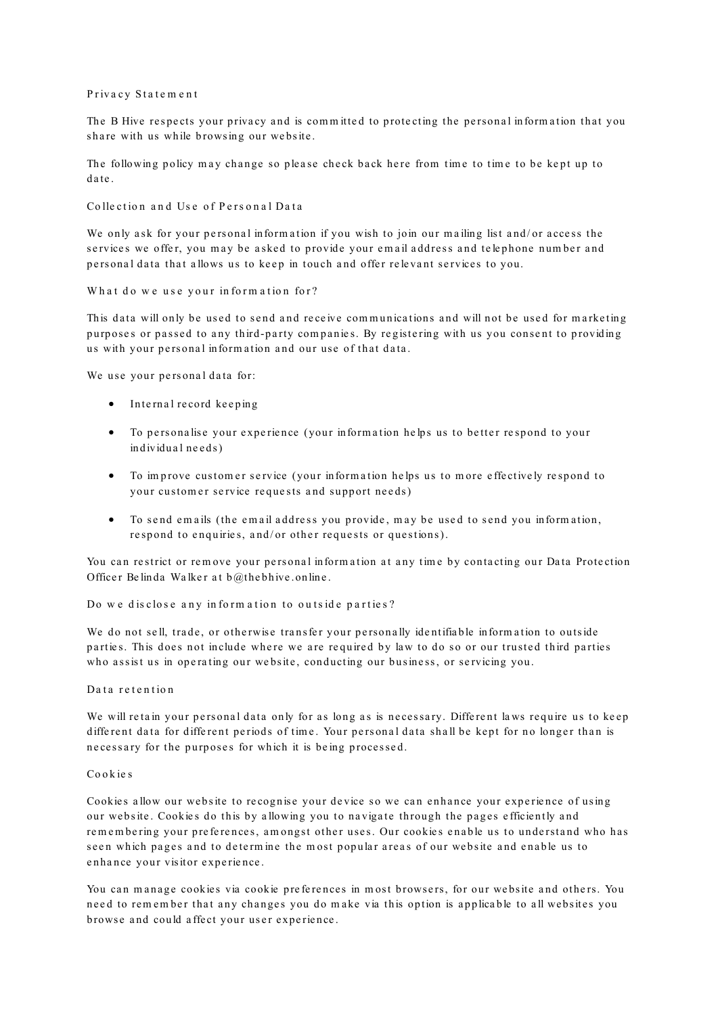#### Privacy Statement

The B Hive respects your privacy and is committed to protecting the personal information that you share with us while browsing our website.

The following policy may change so please check back here from time to time to be kept up to date.

Collection and Use of Personal Data

We only ask for your personal information if you wish to join our mailing list and/or access the services we offer, you may be asked to provide your email address and telephone number and personal data that allows us to keep in touch and offer relevant services to you.

What do we use your information for?

This data will only be used to send and receive communications and will not be used for marketing purposes or passed to any third-party companies. By registering with us you consent to providing us with your personal information and our use of that data.

We use your personal data for:

- $\bullet$  Internal record keeping
- To personalise your experience (your information helps us to better respond to your individual needs)
- To improve customer service (your information helps us to more effectively respond to your customer service requests and support needs)
- To send emails (the email address you provide, may be used to send you information, re spond to enquiries, and/or other requests or questions).

You can restrict or remove your personal information at any time by contacting our Data Protection Officer Belinda Walker at  $b@$ the bhive on line.

Do we disclose any information to outside parties?

We do not sell, trade, or otherwise transfer your personally identifiable information to outside parties. This does not include where we are required by law to do so or our trusted third parties who assist us in operating our website, conducting our business, or servicing you.

#### Da ta re ten tion

We will retain your personal data only for as long as is necessary. Different laws require us to keep different data for different periods of time. Your personal data shall be kept for no longer than is necessary for the purposes for which it is being processed.

# Co ok ie s

Cookies allow our website to recognise your device so we can enhance your experience of using our website. Cookies do this by allowing you to navigate through the pages efficiently and rem em bering your preferences, amongst other uses. Our cookies enable us to understand who has seen which pages and to determine the most popular areas of our website and enable us to enhance your visitor experience.

You can manage cookies via cookie preferences in most browsers, for our website and others. You need to remember that any changes you do make via this option is applicable to all websites you browse and could affect your user experience.